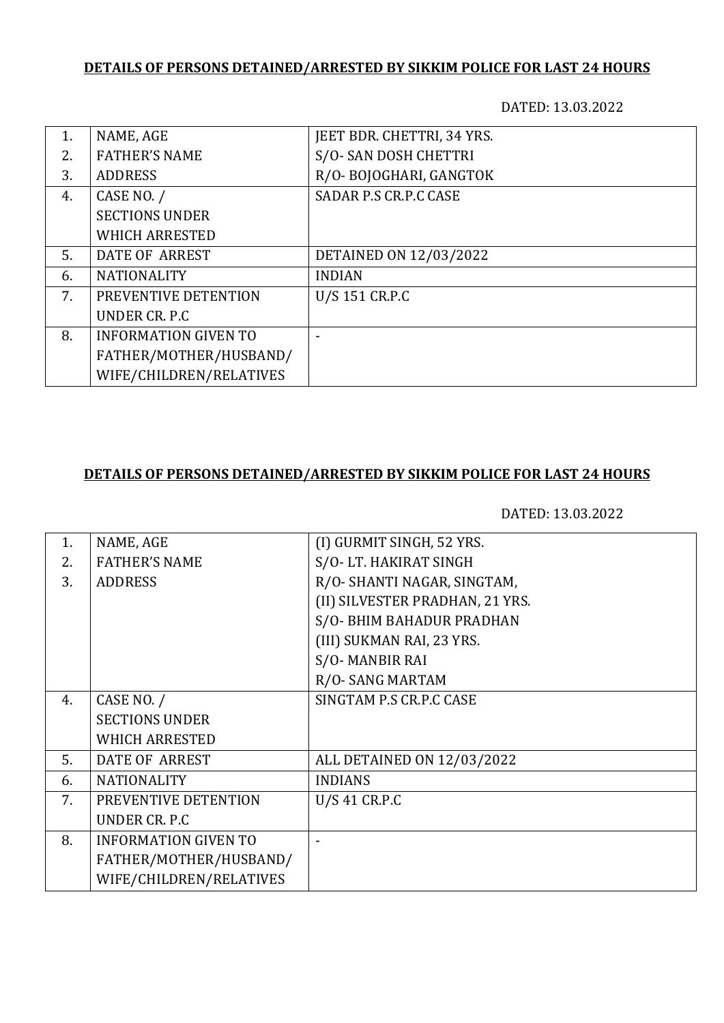## **DETAILS OF PERSONS DETAINED/ARRESTED BY SIKKIM POLICE FOR LAST 24 HOURS**

DATED: 13.03.2022

| 1. | NAME, AGE                   | JEET BDR. CHETTRI, 34 YRS. |
|----|-----------------------------|----------------------------|
| 2. | <b>FATHER'S NAME</b>        | S/O-SAN DOSH CHETTRI       |
| 3. | <b>ADDRESS</b>              | R/O-BOJOGHARI, GANGTOK     |
| 4. | CASE NO. /                  | SADAR P.S CR.P.C CASE      |
|    | <b>SECTIONS UNDER</b>       |                            |
|    | <b>WHICH ARRESTED</b>       |                            |
| 5. | DATE OF ARREST              | DETAINED ON 12/03/2022     |
| 6. | <b>NATIONALITY</b>          | <b>INDIAN</b>              |
| 7. | PREVENTIVE DETENTION        | U/S 151 CR.P.C             |
|    | UNDER CR. P.C.              |                            |
| 8. | <b>INFORMATION GIVEN TO</b> |                            |
|    | FATHER/MOTHER/HUSBAND/      |                            |
|    | WIFE/CHILDREN/RELATIVES     |                            |

## **DETAILS OF PERSONS DETAINED/ARRESTED BY SIKKIM POLICE FOR LAST 24 HOURS**

DATED: 13.03.2022

| 1. | NAME, AGE                   | (I) GURMIT SINGH, 52 YRS.       |
|----|-----------------------------|---------------------------------|
| 2. | <b>FATHER'S NAME</b>        | S/O-LT. HAKIRAT SINGH           |
| 3. | <b>ADDRESS</b>              | R/O- SHANTI NAGAR, SINGTAM,     |
|    |                             | (II) SILVESTER PRADHAN, 21 YRS. |
|    |                             | S/O- BHIM BAHADUR PRADHAN       |
|    |                             | (III) SUKMAN RAI, 23 YRS.       |
|    |                             | S/O-MANBIR RAI                  |
|    |                             | R/O-SANG MARTAM                 |
| 4. | CASE NO. /                  | SINGTAM P.S CR.P.C CASE         |
|    | <b>SECTIONS UNDER</b>       |                                 |
|    | <b>WHICH ARRESTED</b>       |                                 |
| 5. | <b>DATE OF ARREST</b>       | ALL DETAINED ON 12/03/2022      |
| 6. | <b>NATIONALITY</b>          | <b>INDIANS</b>                  |
| 7. | PREVENTIVE DETENTION        | U/S 41 CR.P.C                   |
|    | UNDER CR. P.C               |                                 |
| 8. | <b>INFORMATION GIVEN TO</b> |                                 |
|    | FATHER/MOTHER/HUSBAND/      |                                 |
|    | WIFE/CHILDREN/RELATIVES     |                                 |